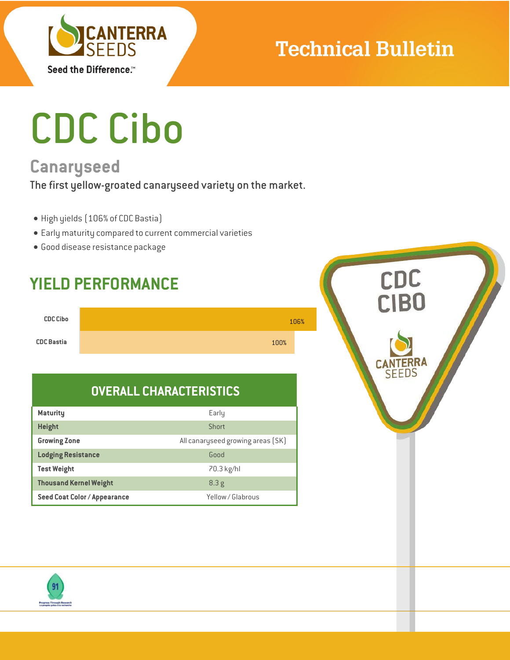

## **Technical Bulletin**

# CDC Cibo

## **Canaryseed**

The first yellow-groated canaryseed variety on the market.

- High yields (106% of CDC Bastia)
- Early maturity compared to current commercial varieties
- Good disease resistance package

## **YIELD PERFORMANCE**

| <b>CDC Cibo</b>   |      | 106% |
|-------------------|------|------|
| <b>CDC Bastia</b> | 100% |      |

### **OVERALL CHARACTERISTICS**

| <b>Maturity</b>               | Early<br>Short                    |  |  |  |
|-------------------------------|-----------------------------------|--|--|--|
| <b>Height</b>                 |                                   |  |  |  |
| <b>Growing Zone</b>           | All canaryseed growing areas (SK) |  |  |  |
| <b>Lodging Resistance</b>     | Good                              |  |  |  |
| <b>Test Weight</b>            | 70.3 kg/hl                        |  |  |  |
| <b>Thousand Kernel Weight</b> | 8.3g                              |  |  |  |
| Seed Coat Color / Appearance  | Yellow / Glabrous                 |  |  |  |